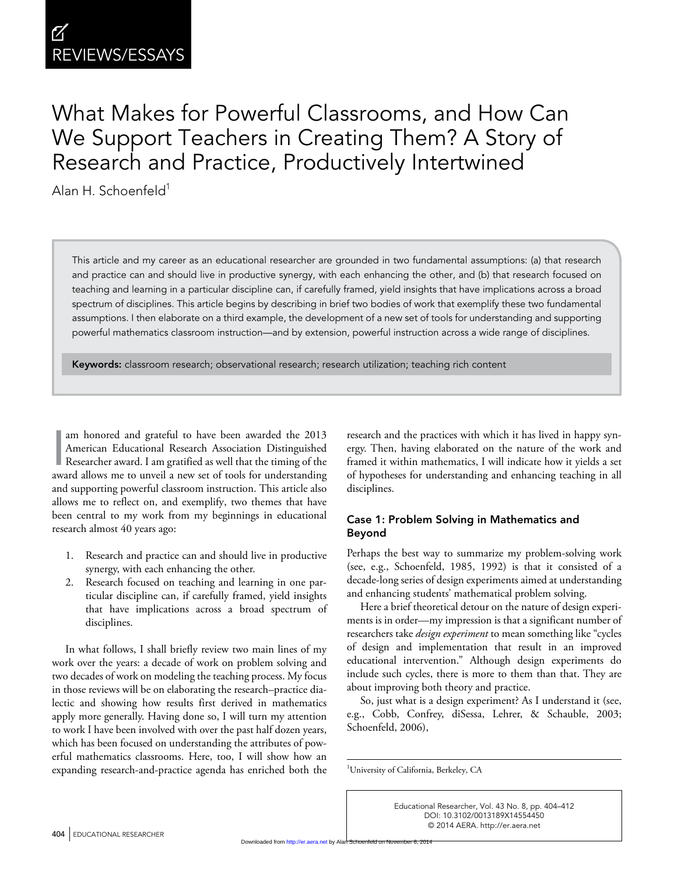**554450**EDRXXX10.3102/0013189X14554450Educational Researcher**Month**

### What Makes for Powerful Classrooms, and How Can We Support Teachers in Creating Them? A Story of Research and Practice, Productively Intertwined

Alan H. Schoenfeld<sup>1</sup>

This article and my career as an educational researcher are grounded in two fundamental assumptions: (a) that research and practice can and should live in productive synergy, with each enhancing the other, and (b) that research focused on teaching and learning in a particular discipline can, if carefully framed, yield insights that have implications across a broad spectrum of disciplines. This article begins by describing in brief two bodies of work that exemplify these two fundamental assumptions. I then elaborate on a third example, the development of a new set of tools for understanding and supporting powerful mathematics classroom instruction—and by extension, powerful instruction across a wide range of disciplines.

Keywords: classroom research; observational research; research utilization; teaching rich content

I am honored and grateful to have been awarded the 2013<br>American Educational Research Association Distinguished<br>Researcher award. I am gratified as well that the timing of the<br>award allows me to unveil a new set of tools f American Educational Research Association Distinguished award allows me to unveil a new set of tools for understanding and supporting powerful classroom instruction. This article also allows me to reflect on, and exemplify, two themes that have been central to my work from my beginnings in educational research almost 40 years ago:

- 1. Research and practice can and should live in productive synergy, with each enhancing the other.
- 2. Research focused on teaching and learning in one particular discipline can, if carefully framed, yield insights that have implications across a broad spectrum of disciplines.

In what follows, I shall briefly review two main lines of my work over the years: a decade of work on problem solving and two decades of work on modeling the teaching process. My focus in those reviews will be on elaborating the research–practice dialectic and showing how results first derived in mathematics apply more generally. Having done so, I will turn my attention to work I have been involved with over the past half dozen years, which has been focused on understanding the attributes of powerful mathematics classrooms. Here, too, I will show how an expanding research-and-practice agenda has enriched both the

research and the practices with which it has lived in happy synergy. Then, having elaborated on the nature of the work and framed it within mathematics, I will indicate how it yields a set of hypotheses for understanding and enhancing teaching in all disciplines.

### Case 1: Problem Solving in Mathematics and Beyond

Perhaps the best way to summarize my problem-solving work (see, e.g., Schoenfeld, 1985, 1992) is that it consisted of a decade-long series of design experiments aimed at understanding and enhancing students' mathematical problem solving.

Here a brief theoretical detour on the nature of design experiments is in order—my impression is that a significant number of researchers take *design experiment* to mean something like "cycles of design and implementation that result in an improved educational intervention." Although design experiments do include such cycles, there is more to them than that. They are about improving both theory and practice.

So, just what is a design experiment? As I understand it (see, e.g., Cobb, Confrey, diSessa, Lehrer, & Schauble, 2003; Schoenfeld, 2006),

1 University of California, Berkeley, CA

Educational Researcher, Vol. 43 No. 8, pp. 404–412 DOI: 10.3102/0013189X14554450 © 2014 AERA. http://er.aera.net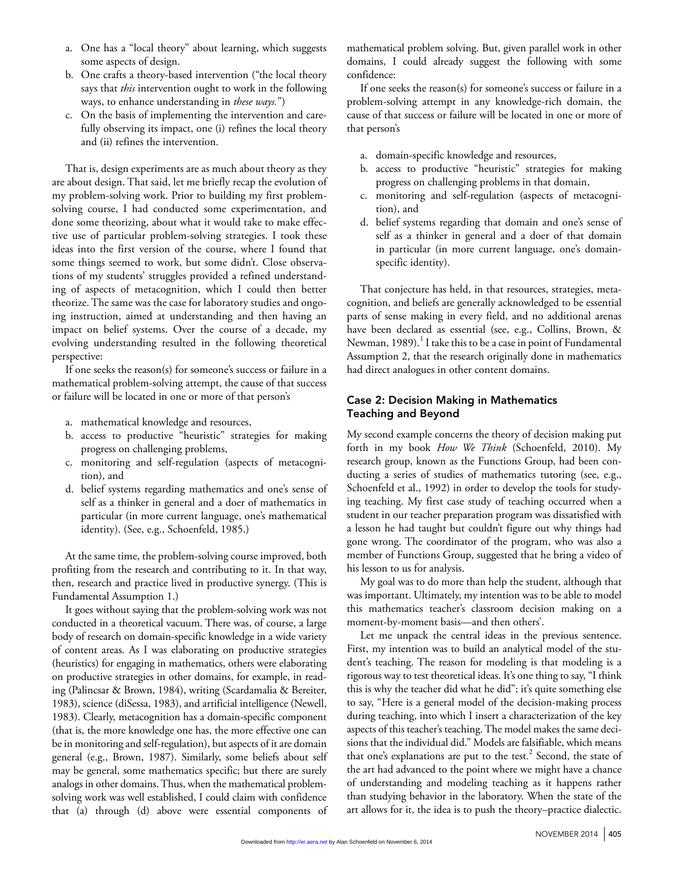- a. One has a "local theory" about learning, which suggests some aspects of design.
- b. One crafts a theory-based intervention ("the local theory says that *this* intervention ought to work in the following ways, to enhance understanding in *these ways.*")
- c. On the basis of implementing the intervention and carefully observing its impact, one (i) refines the local theory and (ii) refines the intervention.

That is, design experiments are as much about theory as they are about design. That said, let me briefly recap the evolution of my problem-solving work. Prior to building my first problemsolving course, I had conducted some experimentation, and done some theorizing, about what it would take to make effective use of particular problem-solving strategies. I took these ideas into the first version of the course, where I found that some things seemed to work, but some didn't. Close observations of my students' struggles provided a refined understanding of aspects of metacognition, which I could then better theorize. The same was the case for laboratory studies and ongoing instruction, aimed at understanding and then having an impact on belief systems. Over the course of a decade, my evolving understanding resulted in the following theoretical perspective:

If one seeks the reason(s) for someone's success or failure in a mathematical problem-solving attempt, the cause of that success or failure will be located in one or more of that person's

- a. mathematical knowledge and resources,
- b. access to productive "heuristic" strategies for making progress on challenging problems,
- c. monitoring and self-regulation (aspects of metacognition), and
- d. belief systems regarding mathematics and one's sense of self as a thinker in general and a doer of mathematics in particular (in more current language, one's mathematical identity). (See, e.g., Schoenfeld, 1985.)

At the same time, the problem-solving course improved, both profiting from the research and contributing to it. In that way, then, research and practice lived in productive synergy. (This is Fundamental Assumption 1.)

It goes without saying that the problem-solving work was not conducted in a theoretical vacuum. There was, of course, a large body of research on domain-specific knowledge in a wide variety of content areas. As I was elaborating on productive strategies (heuristics) for engaging in mathematics, others were elaborating on productive strategies in other domains, for example, in reading (Palincsar & Brown, 1984), writing (Scardamalia & Bereiter, 1983), science (diSessa, 1983), and artificial intelligence (Newell, 1983). Clearly, metacognition has a domain-specific component (that is, the more knowledge one has, the more effective one can be in monitoring and self-regulation), but aspects of it are domain general (e.g., Brown, 1987). Similarly, some beliefs about self may be general, some mathematics specific; but there are surely analogs in other domains. Thus, when the mathematical problemsolving work was well established, I could claim with confidence that (a) through (d) above were essential components of

mathematical problem solving. But, given parallel work in other domains, I could already suggest the following with some confidence:

If one seeks the reason(s) for someone's success or failure in a problem-solving attempt in any knowledge-rich domain, the cause of that success or failure will be located in one or more of that person's

- a. domain-specific knowledge and resources,
- b. access to productive "heuristic" strategies for making progress on challenging problems in that domain,
- c. monitoring and self-regulation (aspects of metacognition), and
- d. belief systems regarding that domain and one's sense of self as a thinker in general and a doer of that domain in particular (in more current language, one's domainspecific identity).

That conjecture has held, in that resources, strategies, metacognition, and beliefs are generally acknowledged to be essential parts of sense making in every field, and no additional arenas have been declared as essential (see, e.g., Collins, Brown, & Newman, 1989). $^1$  I take this to be a case in point of Fundamental Assumption 2, that the research originally done in mathematics had direct analogues in other content domains.

#### Case 2: Decision Making in Mathematics Teaching and Beyond

My second example concerns the theory of decision making put forth in my book *How We Think* (Schoenfeld, 2010). My research group, known as the Functions Group, had been conducting a series of studies of mathematics tutoring (see, e.g., Schoenfeld et al., 1992) in order to develop the tools for studying teaching. My first case study of teaching occurred when a student in our teacher preparation program was dissatisfied with a lesson he had taught but couldn't figure out why things had gone wrong. The coordinator of the program, who was also a member of Functions Group, suggested that he bring a video of his lesson to us for analysis.

My goal was to do more than help the student, although that was important. Ultimately, my intention was to be able to model this mathematics teacher's classroom decision making on a moment-by-moment basis—and then others'.

Let me unpack the central ideas in the previous sentence. First, my intention was to build an analytical model of the student's teaching. The reason for modeling is that modeling is a rigorous way to test theoretical ideas. It's one thing to say, "I think this is why the teacher did what he did"; it's quite something else to say, "Here is a general model of the decision-making process during teaching, into which I insert a characterization of the key aspects of this teacher's teaching. The model makes the same decisions that the individual did." Models are falsifiable, which means that one's explanations are put to the test.<sup>2</sup> Second, the state of the art had advanced to the point where we might have a chance of understanding and modeling teaching as it happens rather than studying behavior in the laboratory. When the state of the art allows for it, the idea is to push the theory–practice dialectic.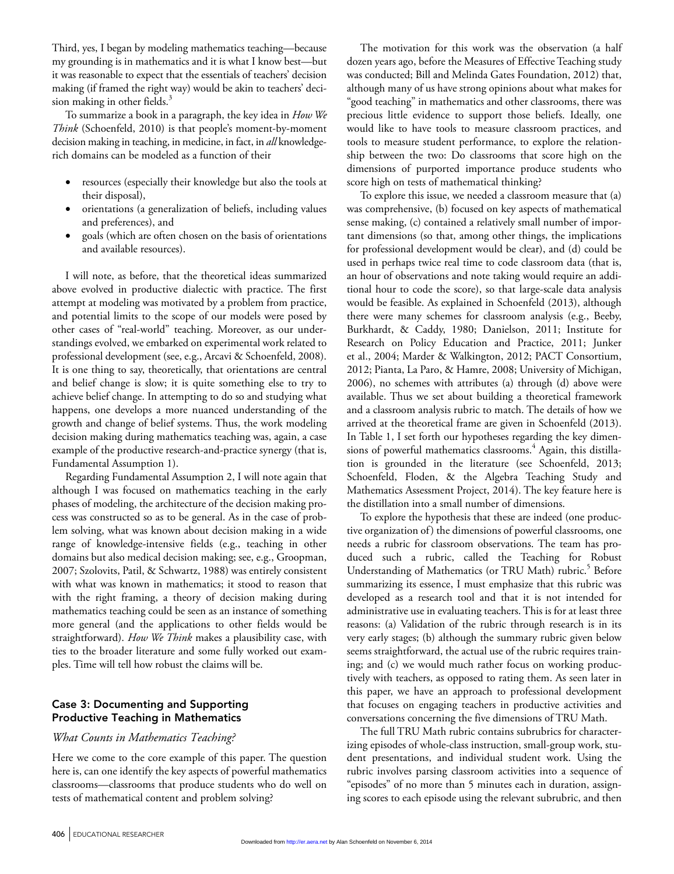Third, yes, I began by modeling mathematics teaching—because my grounding is in mathematics and it is what I know best—but it was reasonable to expect that the essentials of teachers' decision making (if framed the right way) would be akin to teachers' decision making in other fields. $3$ 

To summarize a book in a paragraph, the key idea in *How We Think* (Schoenfeld, 2010) is that people's moment-by-moment decision making in teaching, in medicine, in fact, in *all* knowledgerich domains can be modeled as a function of their

- resources (especially their knowledge but also the tools at their disposal),
- orientations (a generalization of beliefs, including values and preferences), and
- goals (which are often chosen on the basis of orientations and available resources).

I will note, as before, that the theoretical ideas summarized above evolved in productive dialectic with practice. The first attempt at modeling was motivated by a problem from practice, and potential limits to the scope of our models were posed by other cases of "real-world" teaching. Moreover, as our understandings evolved, we embarked on experimental work related to professional development (see, e.g., Arcavi & Schoenfeld, 2008). It is one thing to say, theoretically, that orientations are central and belief change is slow; it is quite something else to try to achieve belief change. In attempting to do so and studying what happens, one develops a more nuanced understanding of the growth and change of belief systems. Thus, the work modeling decision making during mathematics teaching was, again, a case example of the productive research-and-practice synergy (that is, Fundamental Assumption 1).

Regarding Fundamental Assumption 2, I will note again that although I was focused on mathematics teaching in the early phases of modeling, the architecture of the decision making process was constructed so as to be general. As in the case of problem solving, what was known about decision making in a wide range of knowledge-intensive fields (e.g., teaching in other domains but also medical decision making; see, e.g., Groopman, 2007; Szolovits, Patil, & Schwartz, 1988) was entirely consistent with what was known in mathematics; it stood to reason that with the right framing, a theory of decision making during mathematics teaching could be seen as an instance of something more general (and the applications to other fields would be straightforward). *How We Think* makes a plausibility case, with ties to the broader literature and some fully worked out examples. Time will tell how robust the claims will be.

#### Case 3: Documenting and Supporting Productive Teaching in Mathematics

#### *What Counts in Mathematics Teaching?*

Here we come to the core example of this paper. The question here is, can one identify the key aspects of powerful mathematics classrooms—classrooms that produce students who do well on tests of mathematical content and problem solving?

The motivation for this work was the observation (a half dozen years ago, before the Measures of Effective Teaching study was conducted; Bill and Melinda Gates Foundation, 2012) that, although many of us have strong opinions about what makes for "good teaching" in mathematics and other classrooms, there was precious little evidence to support those beliefs. Ideally, one would like to have tools to measure classroom practices, and tools to measure student performance, to explore the relationship between the two: Do classrooms that score high on the dimensions of purported importance produce students who score high on tests of mathematical thinking?

To explore this issue, we needed a classroom measure that (a) was comprehensive, (b) focused on key aspects of mathematical sense making, (c) contained a relatively small number of important dimensions (so that, among other things, the implications for professional development would be clear), and (d) could be used in perhaps twice real time to code classroom data (that is, an hour of observations and note taking would require an additional hour to code the score), so that large-scale data analysis would be feasible. As explained in Schoenfeld (2013), although there were many schemes for classroom analysis (e.g., Beeby, Burkhardt, & Caddy, 1980; Danielson, 2011; Institute for Research on Policy Education and Practice, 2011; Junker et al., 2004; Marder & Walkington, 2012; PACT Consortium, 2012; Pianta, La Paro, & Hamre, 2008; University of Michigan, 2006), no schemes with attributes (a) through (d) above were available. Thus we set about building a theoretical framework and a classroom analysis rubric to match. The details of how we arrived at the theoretical frame are given in Schoenfeld (2013). In Table 1, I set forth our hypotheses regarding the key dimensions of powerful mathematics classrooms.<sup>4</sup> Again, this distillation is grounded in the literature (see Schoenfeld, 2013; Schoenfeld, Floden, & the Algebra Teaching Study and Mathematics Assessment Project, 2014). The key feature here is the distillation into a small number of dimensions.

To explore the hypothesis that these are indeed (one productive organization of) the dimensions of powerful classrooms, one needs a rubric for classroom observations. The team has produced such a rubric, called the Teaching for Robust Understanding of Mathematics (or TRU Math) rubric.<sup>5</sup> Before summarizing its essence, I must emphasize that this rubric was developed as a research tool and that it is not intended for administrative use in evaluating teachers. This is for at least three reasons: (a) Validation of the rubric through research is in its very early stages; (b) although the summary rubric given below seems straightforward, the actual use of the rubric requires training; and (c) we would much rather focus on working productively with teachers, as opposed to rating them. As seen later in this paper, we have an approach to professional development that focuses on engaging teachers in productive activities and conversations concerning the five dimensions of TRU Math.

The full TRU Math rubric contains subrubrics for characterizing episodes of whole-class instruction, small-group work, student presentations, and individual student work. Using the rubric involves parsing classroom activities into a sequence of "episodes" of no more than 5 minutes each in duration, assigning scores to each episode using the relevant subrubric, and then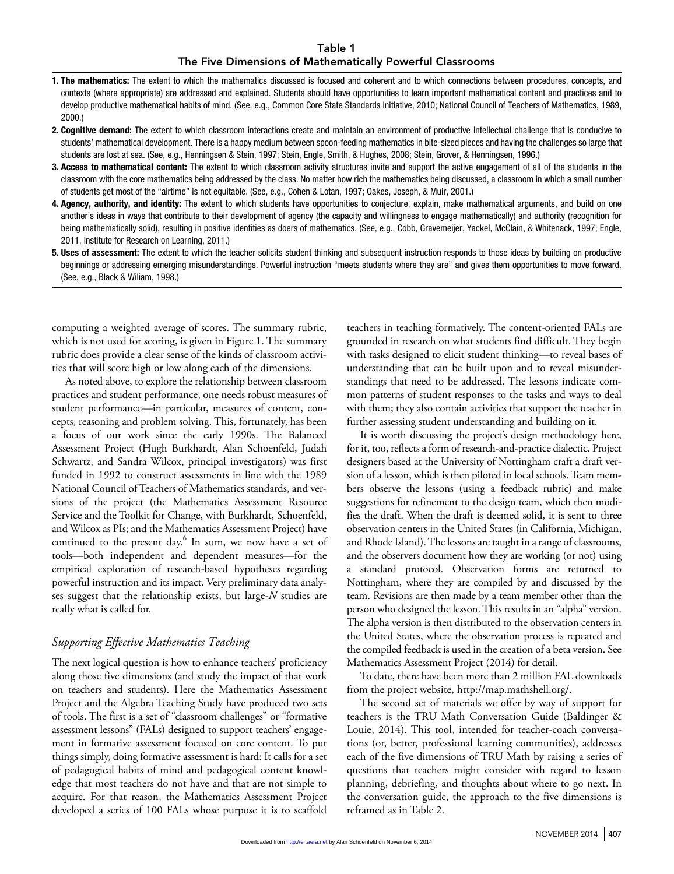- 1. The mathematics: The extent to which the mathematics discussed is focused and coherent and to which connections between procedures, concepts, and contexts (where appropriate) are addressed and explained. Students should have opportunities to learn important mathematical content and practices and to develop productive mathematical habits of mind. (See, e.g., Common Core State Standards Initiative, 2010; National Council of Teachers of Mathematics, 1989, 2000.)
- 2. Cognitive demand: The extent to which classroom interactions create and maintain an environment of productive intellectual challenge that is conducive to students' mathematical development. There is a happy medium between spoon-feeding mathematics in bite-sized pieces and having the challenges so large that students are lost at sea. (See, e.g., Henningsen & Stein, 1997; Stein, Engle, Smith, & Hughes, 2008; Stein, Grover, & Henningsen, 1996.)
- 3. Access to mathematical content: The extent to which classroom activity structures invite and support the active engagement of all of the students in the classroom with the core mathematics being addressed by the class. No matter how rich the mathematics being discussed, a classroom in which a small number of students get most of the "airtime" is not equitable. (See, e.g., Cohen & Lotan, 1997; Oakes, Joseph, & Muir, 2001.)
- 4. Agency, authority, and identity: The extent to which students have opportunities to conjecture, explain, make mathematical arguments, and build on one another's ideas in ways that contribute to their development of agency (the capacity and willingness to engage mathematically) and authority (recognition for being mathematically solid), resulting in positive identities as doers of mathematics. (See, e.g., Cobb, Gravemeijer, Yackel, McClain, & Whitenack, 1997; Engle, 2011, Institute for Research on Learning, 2011.)
- 5. Uses of assessment: The extent to which the teacher solicits student thinking and subsequent instruction responds to those ideas by building on productive beginnings or addressing emerging misunderstandings. Powerful instruction "meets students where they are" and gives them opportunities to move forward. (See, e.g., Black & Wiliam, 1998.)

computing a weighted average of scores. The summary rubric, which is not used for scoring, is given in Figure 1. The summary rubric does provide a clear sense of the kinds of classroom activities that will score high or low along each of the dimensions.

As noted above, to explore the relationship between classroom practices and student performance, one needs robust measures of student performance—in particular, measures of content, concepts, reasoning and problem solving. This, fortunately, has been a focus of our work since the early 1990s. The Balanced Assessment Project (Hugh Burkhardt, Alan Schoenfeld, Judah Schwartz, and Sandra Wilcox, principal investigators) was first funded in 1992 to construct assessments in line with the 1989 National Council of Teachers of Mathematics standards, and versions of the project (the Mathematics Assessment Resource Service and the Toolkit for Change, with Burkhardt, Schoenfeld, and Wilcox as PIs; and the Mathematics Assessment Project) have continued to the present day.<sup>6</sup> In sum, we now have a set of tools—both independent and dependent measures—for the empirical exploration of research-based hypotheses regarding powerful instruction and its impact. Very preliminary data analyses suggest that the relationship exists, but large-*N* studies are really what is called for.

#### *Supporting Effective Mathematics Teaching*

The next logical question is how to enhance teachers' proficiency along those five dimensions (and study the impact of that work on teachers and students). Here the Mathematics Assessment Project and the Algebra Teaching Study have produced two sets of tools. The first is a set of "classroom challenges" or "formative assessment lessons" (FALs) designed to support teachers' engagement in formative assessment focused on core content. To put things simply, doing formative assessment is hard: It calls for a set of pedagogical habits of mind and pedagogical content knowledge that most teachers do not have and that are not simple to acquire. For that reason, the Mathematics Assessment Project developed a series of 100 FALs whose purpose it is to scaffold

teachers in teaching formatively. The content-oriented FALs are grounded in research on what students find difficult. They begin with tasks designed to elicit student thinking—to reveal bases of understanding that can be built upon and to reveal misunderstandings that need to be addressed. The lessons indicate common patterns of student responses to the tasks and ways to deal with them; they also contain activities that support the teacher in further assessing student understanding and building on it.

It is worth discussing the project's design methodology here, for it, too, reflects a form of research-and-practice dialectic. Project designers based at the University of Nottingham craft a draft version of a lesson, which is then piloted in local schools. Team members observe the lessons (using a feedback rubric) and make suggestions for refinement to the design team, which then modifies the draft. When the draft is deemed solid, it is sent to three observation centers in the United States (in California, Michigan, and Rhode Island). The lessons are taught in a range of classrooms, and the observers document how they are working (or not) using a standard protocol. Observation forms are returned to Nottingham, where they are compiled by and discussed by the team. Revisions are then made by a team member other than the person who designed the lesson. This results in an "alpha" version. The alpha version is then distributed to the observation centers in the United States, where the observation process is repeated and the compiled feedback is used in the creation of a beta version. See Mathematics Assessment Project (2014) for detail.

To date, there have been more than 2 million FAL downloads from the project website, http://map.mathshell.org/.

The second set of materials we offer by way of support for teachers is the TRU Math Conversation Guide (Baldinger & Louie, 2014). This tool, intended for teacher-coach conversations (or, better, professional learning communities), addresses each of the five dimensions of TRU Math by raising a series of questions that teachers might consider with regard to lesson planning, debriefing, and thoughts about where to go next. In the conversation guide, the approach to the five dimensions is reframed as in Table 2.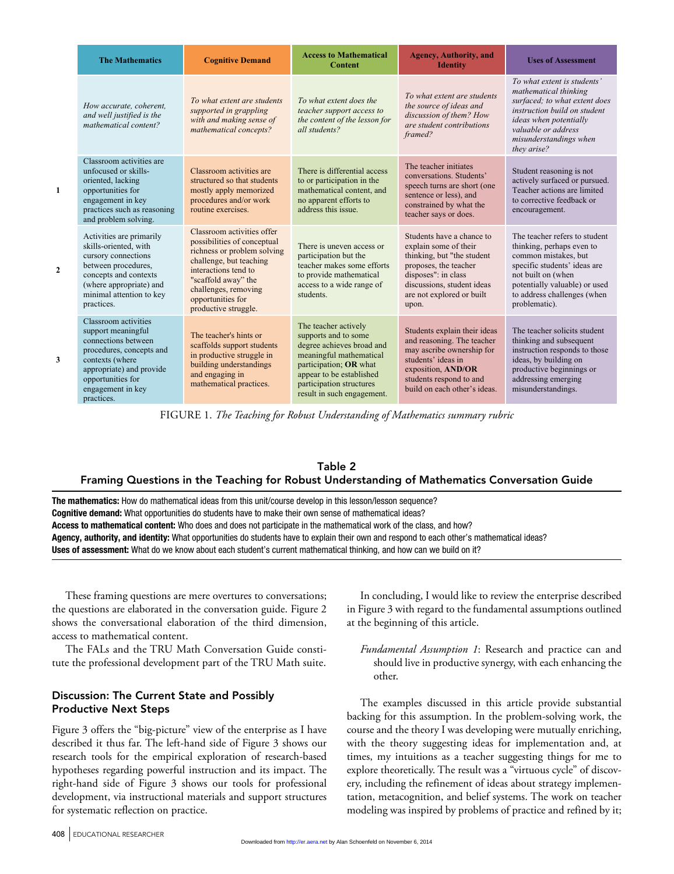| <b>The Mathematics</b>                                                                                                                                                                               | <b>Cognitive Demand</b>                                                                                                                                                                                                                 | <b>Access to Mathematical</b><br><b>Content</b>                                                                                                                                                                      | <b>Agency, Authority, and</b><br><b>Identity</b>                                                                                                                                                     | <b>Uses of Assessment</b>                                                                                                                                                                                                 |
|------------------------------------------------------------------------------------------------------------------------------------------------------------------------------------------------------|-----------------------------------------------------------------------------------------------------------------------------------------------------------------------------------------------------------------------------------------|----------------------------------------------------------------------------------------------------------------------------------------------------------------------------------------------------------------------|------------------------------------------------------------------------------------------------------------------------------------------------------------------------------------------------------|---------------------------------------------------------------------------------------------------------------------------------------------------------------------------------------------------------------------------|
| How accurate, coherent.<br>and well justified is the<br>mathematical content?                                                                                                                        | To what extent are students<br>supported in grappling<br>with and making sense of<br>mathematical concepts?                                                                                                                             | To what extent does the<br>teacher support access to<br>the content of the lesson for<br>all students?                                                                                                               | To what extent are students<br>the source of ideas and<br>discussion of them? How<br>are student contributions<br>framed?                                                                            | To what extent is students'<br>mathematical thinking<br>surfaced; to what extent does<br>instruction build on student<br>ideas when potentially<br>valuable or address<br>misunderstandings when<br>they arise?           |
| Classroom activities are<br>unfocused or skills-<br>oriented, lacking<br>opportunities for<br>engagement in key<br>practices such as reasoning<br>and problem solving.                               | Classroom activities are<br>structured so that students<br>mostly apply memorized<br>procedures and/or work<br>routine exercises.                                                                                                       | There is differential access<br>to or participation in the<br>mathematical content, and<br>no apparent efforts to<br>address this issue.                                                                             | The teacher initiates<br>conversations. Students'<br>speech turns are short (one<br>sentence or less), and<br>constrained by what the<br>teacher says or does.                                       | Student reasoning is not<br>actively surfaced or pursued.<br>Teacher actions are limited<br>to corrective feedback or<br>encouragement.                                                                                   |
| Activities are primarily<br>skills-oriented, with<br>cursory connections<br>between procedures,<br>concepts and contexts<br>(where appropriate) and<br>minimal attention to key<br>practices.        | Classroom activities offer<br>possibilities of conceptual<br>richness or problem solving<br>challenge, but teaching<br>interactions tend to<br>"scaffold away" the<br>challenges, removing<br>opportunities for<br>productive struggle. | There is uneven access or<br>participation but the<br>teacher makes some efforts<br>to provide mathematical<br>access to a wide range of<br>students.                                                                | Students have a chance to<br>explain some of their<br>thinking, but "the student<br>proposes, the teacher<br>disposes": in class<br>discussions, student ideas<br>are not explored or built<br>upon. | The teacher refers to student<br>thinking, perhaps even to<br>common mistakes, but<br>specific students' ideas are<br>not built on (when<br>potentially valuable) or used<br>to address challenges (when<br>problematic). |
| Classroom activities<br>support meaningful<br>connections between<br>procedures, concepts and<br>contexts (where<br>appropriate) and provide<br>opportunities for<br>engagement in key<br>practices. | The teacher's hints or<br>scaffolds support students<br>in productive struggle in<br>building understandings<br>and engaging in<br>mathematical practices.                                                                              | The teacher actively<br>supports and to some<br>degree achieves broad and<br>meaningful mathematical<br>participation; OR what<br>appear to be established<br>participation structures<br>result in such engagement. | Students explain their ideas<br>and reasoning. The teacher<br>may ascribe ownership for<br>students' ideas in<br>exposition, AND/OR<br>students respond to and<br>build on each other's ideas.       | The teacher solicits student<br>thinking and subsequent<br>instruction responds to those<br>ideas, by building on<br>productive beginnings or<br>addressing emerging<br>misunderstandings.                                |

FIGURE 1. *The Teaching for Robust Understanding of Mathematics summary rubric* 

#### Table 2

#### Framing Questions in the Teaching for Robust Understanding of Mathematics Conversation Guide

The mathematics: How do mathematical ideas from this unit/course develop in this lesson/lesson sequence? Cognitive demand: What opportunities do students have to make their own sense of mathematical ideas? Access to mathematical content: Who does and does not participate in the mathematical work of the class, and how? Agency, authority, and identity: What opportunities do students have to explain their own and respond to each other's mathematical ideas? Uses of assessment: What do we know about each student's current mathematical thinking, and how can we build on it?

These framing questions are mere overtures to conversations; the questions are elaborated in the conversation guide. Figure 2 shows the conversational elaboration of the third dimension, access to mathematical content.

The FALs and the TRU Math Conversation Guide constitute the professional development part of the TRU Math suite.

#### Discussion: The Current State and Possibly Productive Next Steps

Figure 3 offers the "big-picture" view of the enterprise as I have described it thus far. The left-hand side of Figure 3 shows our research tools for the empirical exploration of research-based hypotheses regarding powerful instruction and its impact. The right-hand side of Figure 3 shows our tools for professional development, via instructional materials and support structures for systematic reflection on practice.

In concluding, I would like to review the enterprise described in Figure 3 with regard to the fundamental assumptions outlined at the beginning of this article.

*Fundamental Assumption 1*: Research and practice can and should live in productive synergy, with each enhancing the other.

The examples discussed in this article provide substantial backing for this assumption. In the problem-solving work, the course and the theory I was developing were mutually enriching, with the theory suggesting ideas for implementation and, at times, my intuitions as a teacher suggesting things for me to explore theoretically. The result was a "virtuous cycle" of discovery, including the refinement of ideas about strategy implementation, metacognition, and belief systems. The work on teacher modeling was inspired by problems of practice and refined by it;

**1**

**2**

**3**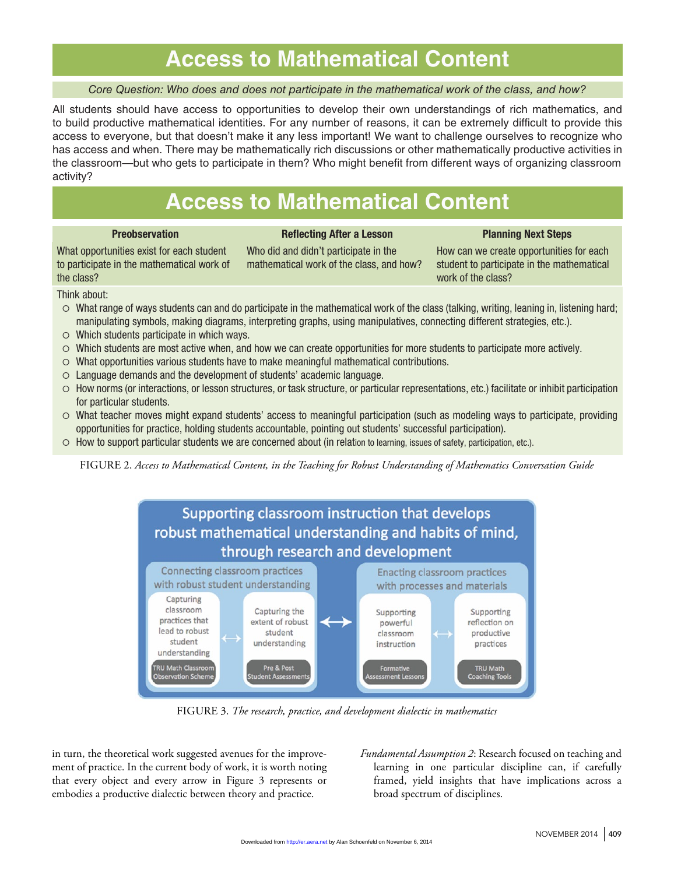# **Access to Mathematical Content**

*Core Question: Who does and does not participate in the mathematical work of the class, and how?*

All students should have access to opportunities to develop their own understandings of rich mathematics, and to build productive mathematical identities. For any number of reasons, it can be extremely difficult to provide this access to everyone, but that doesn't make it any less important! We want to challenge ourselves to recognize who has access and when. There may be mathematically rich discussions or other mathematically productive activities in the classroom—but who gets to participate in them? Who might benefit from different ways of organizing classroom activity?

## **Access to Mathematical Content**

#### **Preobservation Reflecting After a Lesson Planning Next Steps**

What opportunities exist for each student to participate in the mathematical work of the class?

Who did and didn't participate in the mathematical work of the class, and how?

How can we create opportunities for each student to participate in the mathematical work of the class?

Think about:

- $\circ$  What range of ways students can and do participate in the mathematical work of the class (talking, writing, leaning in, listening hard; manipulating symbols, making diagrams, interpreting graphs, using manipulatives, connecting different strategies, etc.).
- $\circ$  Which students participate in which ways.
- $\circ$  Which students are most active when, and how we can create opportunities for more students to participate more actively.
- What opportunities various students have to make meaningful mathematical contributions.
- Language demands and the development of students' academic language.
- $\circ$  How norms (or interactions, or lesson structures, or task structure, or particular representations, etc.) facilitate or inhibit participation for particular students.
- $\circ$  What teacher moves might expand students' access to meaningful participation (such as modeling ways to participate, providing opportunities for practice, holding students accountable, pointing out students' successful participation).
- $\circ$  How to support particular students we are concerned about (in relation to learning, issues of safety, participation, etc.).

Figure 2. *Access to Mathematical Content, in the Teaching for Robust Understanding of Mathematics Conversation Guide*



FIGURE 3. *The research, practice, and development dialectic in mathematics* 

in turn, the theoretical work suggested avenues for the improvement of practice. In the current body of work, it is worth noting that every object and every arrow in Figure 3 represents or embodies a productive dialectic between theory and practice.

*Fundamental Assumption 2*: Research focused on teaching and learning in one particular discipline can, if carefully framed, yield insights that have implications across a broad spectrum of disciplines.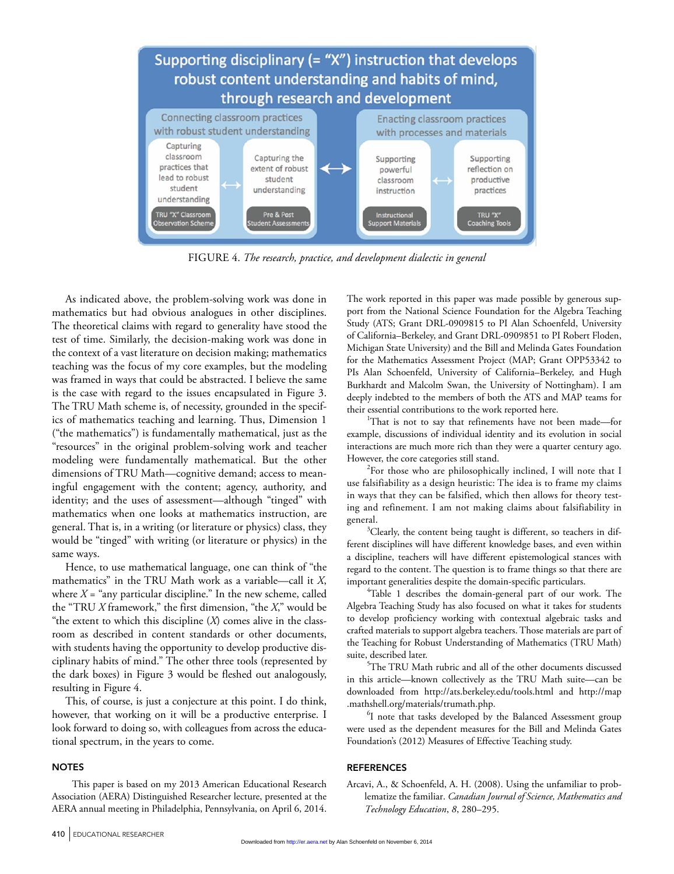

FIGURE 4. *The research, practice, and development dialectic in general* 

As indicated above, the problem-solving work was done in mathematics but had obvious analogues in other disciplines. The theoretical claims with regard to generality have stood the test of time. Similarly, the decision-making work was done in the context of a vast literature on decision making; mathematics teaching was the focus of my core examples, but the modeling was framed in ways that could be abstracted. I believe the same is the case with regard to the issues encapsulated in Figure 3. The TRU Math scheme is, of necessity, grounded in the specifics of mathematics teaching and learning. Thus, Dimension 1 ("the mathematics") is fundamentally mathematical, just as the "resources" in the original problem-solving work and teacher modeling were fundamentally mathematical. But the other dimensions of TRU Math—cognitive demand; access to meaningful engagement with the content; agency, authority, and identity; and the uses of assessment—although "tinged" with mathematics when one looks at mathematics instruction, are general. That is, in a writing (or literature or physics) class, they would be "tinged" with writing (or literature or physics) in the same ways.

Hence, to use mathematical language, one can think of "the mathematics" in the TRU Math work as a variable—call it *X*, where  $X =$  "any particular discipline." In the new scheme, called the "TRU *X* framework," the first dimension, "the *X*," would be "the extent to which this discipline (*X*) comes alive in the classroom as described in content standards or other documents, with students having the opportunity to develop productive disciplinary habits of mind." The other three tools (represented by the dark boxes) in Figure 3 would be fleshed out analogously, resulting in Figure 4.

This, of course, is just a conjecture at this point. I do think, however, that working on it will be a productive enterprise. I look forward to doing so, with colleagues from across the educational spectrum, in the years to come.

#### **NOTES**

This paper is based on my 2013 American Educational Research Association (AERA) Distinguished Researcher lecture, presented at the AERA annual meeting in Philadelphia, Pennsylvania, on April 6, 2014. The work reported in this paper was made possible by generous support from the National Science Foundation for the Algebra Teaching Study (ATS; Grant DRL-0909815 to PI Alan Schoenfeld, University of California–Berkeley, and Grant DRL-0909851 to PI Robert Floden, Michigan State University) and the Bill and Melinda Gates Foundation for the Mathematics Assessment Project (MAP; Grant OPP53342 to PIs Alan Schoenfeld, University of California–Berkeley, and Hugh Burkhardt and Malcolm Swan, the University of Nottingham). I am deeply indebted to the members of both the ATS and MAP teams for their essential contributions to the work reported here.

<sup>1</sup>That is not to say that refinements have not been made—for example, discussions of individual identity and its evolution in social interactions are much more rich than they were a quarter century ago. However, the core categories still stand.

<sup>2</sup>For those who are philosophically inclined, I will note that I use falsifiability as a design heuristic: The idea is to frame my claims in ways that they can be falsified, which then allows for theory testing and refinement. I am not making claims about falsifiability in general.

 $3$ Clearly, the content being taught is different, so teachers in different disciplines will have different knowledge bases, and even within a discipline, teachers will have different epistemological stances with regard to the content. The question is to frame things so that there are important generalities despite the domain-specific particulars.

4 Table 1 describes the domain-general part of our work. The Algebra Teaching Study has also focused on what it takes for students to develop proficiency working with contextual algebraic tasks and crafted materials to support algebra teachers. Those materials are part of the Teaching for Robust Understanding of Mathematics (TRU Math) suite, described later.

<sup>5</sup>The TRU Math rubric and all of the other documents discussed in this article—known collectively as the TRU Math suite—can be [downloaded from http://ats.berkeley.edu/tools.html and http://map](http://map.mathshell.org/materials/trumath.php) .mathshell.org/materials/trumath.php.

<sup>6</sup>I note that tasks developed by the Balanced Assessment group were used as the dependent measures for the Bill and Melinda Gates Foundation's (2012) Measures of Effective Teaching study.

#### **REFERENCES**

Arcavi, A., & Schoenfeld, A. H. (2008). Using the unfamiliar to problematize the familiar. *Canadian Journal of Science, Mathematics and Technology Education*, *8*, 280–295.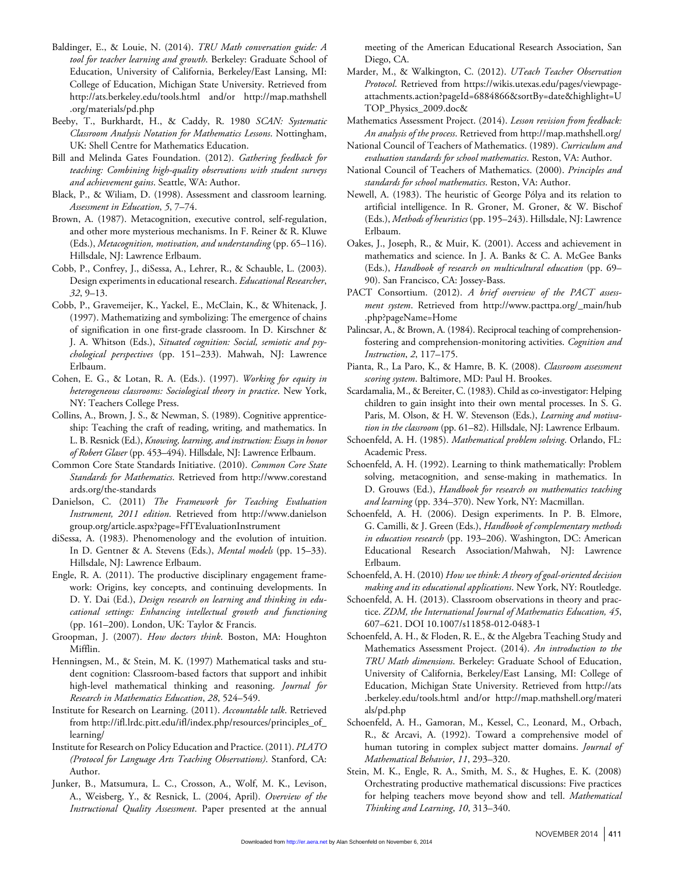- Baldinger, E., & Louie, N. (2014). *TRU Math conversation guide: A tool for teacher learning and growth*. Berkeley: Graduate School of Education, University of California, Berkeley/East Lansing, MI: College of Education, Michigan State University. Retrieved from [http://ats.berkeley.edu/tools.html and/or http://map.mathshell](http://map.mathshell.org/materials/pd.php) .org/materials/pd.php
- Beeby, T., Burkhardt, H., & Caddy, R. 1980 *SCAN: Systematic Classroom Analysis Notation for Mathematics Lessons*. Nottingham, UK: Shell Centre for Mathematics Education.
- Bill and Melinda Gates Foundation. (2012). *Gathering feedback for teaching: Combining high-quality observations with student surveys and achievement gains*. Seattle, WA: Author.
- Black, P., & Wiliam, D. (1998). Assessment and classroom learning. *Assessment in Education*, *5*, 7–74.
- Brown, A. (1987). Metacognition, executive control, self-regulation, and other more mysterious mechanisms. In F. Reiner & R. Kluwe (Eds.), *Metacognition, motivation, and understanding* (pp. 65–116). Hillsdale, NJ: Lawrence Erlbaum.
- Cobb, P., Confrey, J., diSessa, A., Lehrer, R., & Schauble, L. (2003). Design experiments in educational research. *Educational Researcher*, *32*, 9–13.
- Cobb, P., Gravemeijer, K., Yackel, E., McClain, K., & Whitenack, J. (1997). Mathematizing and symbolizing: The emergence of chains of signification in one first-grade classroom. In D. Kirschner & J. A. Whitson (Eds.), *Situated cognition: Social, semiotic and psychological perspectives* (pp. 151–233). Mahwah, NJ: Lawrence Erlbaum.
- Cohen, E. G., & Lotan, R. A. (Eds.). (1997). *Working for equity in heterogeneous classrooms: Sociological theory in practice*. New York, NY: Teachers College Press.
- Collins, A., Brown, J. S., & Newman, S. (1989). Cognitive apprenticeship: Teaching the craft of reading, writing, and mathematics. In L. B. Resnick (Ed.), *Knowing, learning, and instruction: Essays in honor of Robert Glaser* (pp. 453–494). Hillsdale, NJ: Lawrence Erlbaum.
- Common Core State Standards Initiative. (2010). *Common Core State Standards for Mathematics*[. Retrieved from http://www.corestand](http://www.corestandards.org/the-standards)  ards.org/the-standards
- Danielson, C. (2011) *The Framework for Teaching Evaluation Instrument, 2011 edition*. Retrieved from http://www.danielson [group.org/article.aspx?page=FfTEvaluationInstrument](http://www.danielsongroup.org/article.aspx?page=FfTEvaluationInstrument)
- diSessa, A. (1983). Phenomenology and the evolution of intuition. In D. Gentner & A. Stevens (Eds.), *Mental models* (pp. 15–33). Hillsdale, NJ: Lawrence Erlbaum.
- Engle, R. A. (2011). The productive disciplinary engagement framework: Origins, key concepts, and continuing developments. In D. Y. Dai (Ed.), *Design research on learning and thinking in educational settings: Enhancing intellectual growth and functioning* (pp. 161–200). London, UK: Taylor & Francis.
- Groopman, J. (2007). *How doctors think*. Boston, MA: Houghton Mifflin.
- Henningsen, M., & Stein, M. K. (1997) Mathematical tasks and student cognition: Classroom-based factors that support and inhibit high-level mathematical thinking and reasoning. *Journal for Research in Mathematics Education*, *28*, 524–549.
- Institute for Research on Learning. (2011). *Accountable talk*. Retrieved [from http://ifl.lrdc.pitt.edu/ifl/index.php/resources/principles\\_of\\_](http://ifl.lrdc.pitt.edu/ifl/index.php/resources/principles_of_learning/) learning/
- Institute for Research on Policy Education and Practice. (2011). *PLATO (Protocol for Language Arts Teaching Observations)*. Stanford, CA: Author.
- Junker, B., Matsumura, L. C., Crosson, A., Wolf, M. K., Levison, A., Weisberg, Y., & Resnick, L. (2004, April). *Overview of the Instructional Quality Assessment*. Paper presented at the annual

meeting of the American Educational Research Association, San Diego, CA.

- Marder, M., & Walkington, C. (2012). *UTeach Teacher Observation Protocol*. Retrieved from https://wikis.utexas.edu/pages/viewpage[attachments.action?pageId=6884866&sortBy=date&highlight=U](https://wikis.utexas.edu/pages/viewpageattachments.action?pageId=6884866&sortBy=date&highlight=UTOP_Physics_2009.doc&) TOP\_Physics\_2009.doc&
- Mathematics Assessment Project. (2014). *Lesson revision from feedback: An analysis of the process*. Retrieved from http://map.mathshell.org/
- National Council of Teachers of Mathematics. (1989). *Curriculum and evaluation standards for school mathematics*. Reston, VA: Author.
- National Council of Teachers of Mathematics. (2000). *Principles and standards for school mathematics*. Reston, VA: Author.
- Newell, A. (1983). The heuristic of George Pólya and its relation to artificial intelligence. In R. Groner, M. Groner, & W. Bischof (Eds.), *Methods of heuristics* (pp. 195–243). Hillsdale, NJ: Lawrence Erlbaum.
- Oakes, J., Joseph, R., & Muir, K. (2001). Access and achievement in mathematics and science. In J. A. Banks & C. A. McGee Banks (Eds.), *Handbook of research on multicultural education* (pp. 69– 90). San Francisco, CA: Jossey-Bass.
- PACT Consortium. (2012). *A brief overview of the PACT assessment system*[. Retrieved from http://www.pacttpa.org/\\_main/hub](http://www.pacttpa.org/_main/hub.php?pageName=Home) .php?pageName=Home
- Palincsar, A., & Brown, A. (1984). Reciprocal teaching of comprehensionfostering and comprehension-monitoring activities. *Cognition and Instruction*, *2*, 117–175.
- Pianta, R., La Paro, K., & Hamre, B. K. (2008). *Classroom assessment scoring system*. Baltimore, MD: Paul H. Brookes.
- Scardamalia, M., & Bereiter, C. (1983). Child as co-investigator: Helping children to gain insight into their own mental processes. In S. G. Paris, M. Olson, & H. W. Stevenson (Eds.), *Learning and motivation in the classroom* (pp. 61–82). Hillsdale, NJ: Lawrence Erlbaum.
- Schoenfeld, A. H. (1985). *Mathematical problem solving*. Orlando, FL: Academic Press.
- Schoenfeld, A. H. (1992). Learning to think mathematically: Problem solving, metacognition, and sense-making in mathematics. In D. Grouws (Ed.), *Handbook for research on mathematics teaching and learning* (pp. 334–370). New York, NY: Macmillan.
- Schoenfeld, A. H. (2006). Design experiments. In P. B. Elmore, G. Camilli, & J. Green (Eds.), *Handbook of complementary methods in education research* (pp. 193–206). Washington, DC: American Educational Research Association/Mahwah, NJ: Lawrence Erlbaum.
- Schoenfeld, A. H. (2010) *How we think: A theory of goal-oriented decision making and its educational applications*. New York, NY: Routledge.
- Schoenfeld, A. H. (2013). Classroom observations in theory and practice. *ZDM, the International Journal of Mathematics Education, 45*, 607–621. DOI 10.1007/s11858-012-0483-1
- Schoenfeld, A. H., & Floden, R. E., & the Algebra Teaching Study and Mathematics Assessment Project. (2014). *An introduction to the TRU Math dimensions*. Berkeley: Graduate School of Education, University of California, Berkeley/East Lansing, MI: College of [Education, Michigan State University. Retrieved from http://ats](http://ats.berkeley.edu/tools.html) [.berkeley.edu/tools.html and/or http://map.mathshell.org/materi](http://map.mathshell.org/materials/pd.php) als/pd.php
- Schoenfeld, A. H., Gamoran, M., Kessel, C., Leonard, M., Orbach, R., & Arcavi, A. (1992). Toward a comprehensive model of human tutoring in complex subject matter domains. *Journal of Mathematical Behavior*, *11*, 293–320.
- Stein, M. K., Engle, R. A., Smith, M. S., & Hughes, E. K. (2008) Orchestrating productive mathematical discussions: Five practices for helping teachers move beyond show and tell. *Mathematical Thinking and Learning*, *10*, 313–340.